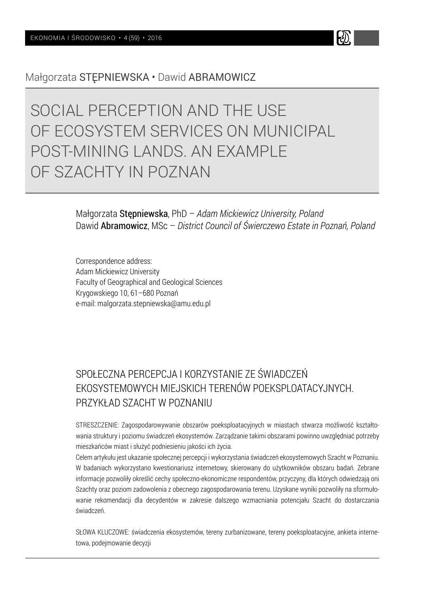

# SOCIAL PERCEPTION AND THE USE OF ECOSYSTEM SERVICES ON MUNICIPAL POST-MINING LANDS AN EXAMPLE OF SZACHTY IN POZNAN

Małgorzata Stępniewska, PhD – *Adam Mickiewicz University, Poland* Dawid Abramowicz, MSc – *District Council of Świerczewo Estate in Poznań, Poland*

W

Correspondence address: Adam Mickiewicz University Faculty of Geographical and Geological Sciences Krygowskiego 10, 61–680 Poznań e-mail: malgorzata.stepniewska@amu.edu.pl

# SPOŁECZNA PERCEPCJA I KORZYSTANIE ZE ŚWIADCZEŃ EKOSYSTEMOWYCH MIEJSKICH TERENÓW POEKSPLOATACYJNYCH. PRZYKŁAD SZACHT W POZNANIU

STRESZCZENIE: Zagospodarowywanie obszarów poeksploatacyjnych w miastach stwarza możliwość kształtowania struktury i poziomu świadczeń ekosystemów. Zarządzanie takimi obszarami powinno uwzględniać potrzeby mieszkańców miast i służyć podniesieniu jakości ich życia.

Celem artykułu jest ukazanie społecznej percepcji i wykorzystania świadczeń ekosystemowych Szacht w Poznaniu. W badaniach wykorzystano kwestionariusz internetowy, skierowany do użytkowników obszaru badań. Zebrane informacje pozwoliły określić cechy społeczno-ekonomiczne respondentów, przyczyny, dla których odwiedzają oni Szachty oraz poziom zadowolenia z obecnego zagospodarowania terenu. Uzyskane wyniki pozwoliły na sformułowanie rekomendacji dla decydentów w zakresie dalszego wzmacniania potencjału Szacht do dostarczania świadczeń.

SŁOWA KLUCZOWE: świadczenia ekosystemów, tereny zurbanizowane, tereny poeksploatacyjne, ankieta internetowa, podejmowanie decyzji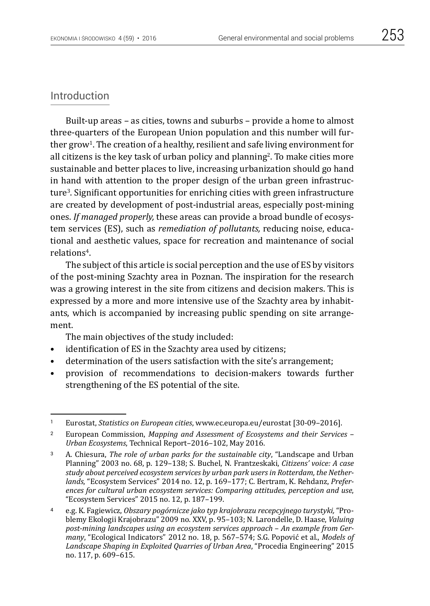# Introduction

Built-up areas – as cities, towns and suburbs – provide a home to almost three-quarters of the European Union population and this number will further grow1. The creation of a healthy, resilient and safe living environment for all citizens is the key task of urban policy and planning2. To make cities more sustainable and better places to live, increasing urbanization should go hand in hand with attention to the proper design of the urban green infrastructure3. Significant opportunities for enriching cities with green infrastructure are created by development of post-industrial areas, especially post-mining ones. *If managed properly,* these areas can provide a broad bundle of ecosystem services (ES), such as *remediation of pollutants,* reducing noise, educational and aesthetic values, space for recreation and maintenance of social relations4.

The subject of this article is social perception and the use of ES by visitors of the post-mining Szachty area in Poznan. The inspiration for the research was a growing interest in the site from citizens and decision makers. This is expressed by a more and more intensive use of the Szachty area by inhabitants, which is accompanied by increasing public spending on site arrangement.

The main objectives of the study included:

- identification of ES in the Szachty area used by citizens;
- determination of the users satisfaction with the site's arrangement;
- provision of recommendations to decision-makers towards further strengthening of the ES potential of the site.

<sup>1</sup> Eurostat, *Statistics on European cities*, www.ec.europa.eu/eurostat [30-09–2016].

<sup>2</sup> European Commission, *Mapping and Assessment of Ecosystems and their Services – Urban Ecosystems*, Technical Report–2016–102, May 2016.

<sup>3</sup> A. Chiesura, *The role of urban parks for the sustainable city*, "Landscape and Urban Planning" 2003 no. 68, p. 129–138; S. Buchel, N. Frantzeskaki, *Citizens' voice: A case study about perceived ecosystem services by urban park users in Rotterdam, the Netherlands*, "Ecosystem Services" 2014 no. 12, p. 169–177; C. Bertram, K. Rehdanz, *Preferences for cultural urban ecosystem services: Comparing attitudes, perception and use*, "Ecosystem Services" 2015 no. 12, p. 187–199.

<sup>4</sup> e.g. K. Fagiewicz, *Obszary pogórnicze jako typ krajobrazu recepcyjnego turystyki,* "Problemy Ekologii Krajobrazu" 2009 no. XXV, p. 95–103; N. Larondelle, D. Haase, *Valuing post-mining landscapes using an ecosystem services approach* – *An example from Germany*, "Ecological Indicators" 2012 no. 18, p. 567–574; S.G. Popović et al., *Models of Landscape Shaping in Exploited Quarries of Urban Area*, "Procedia Engineering" 2015 no. 117, p. 609–615.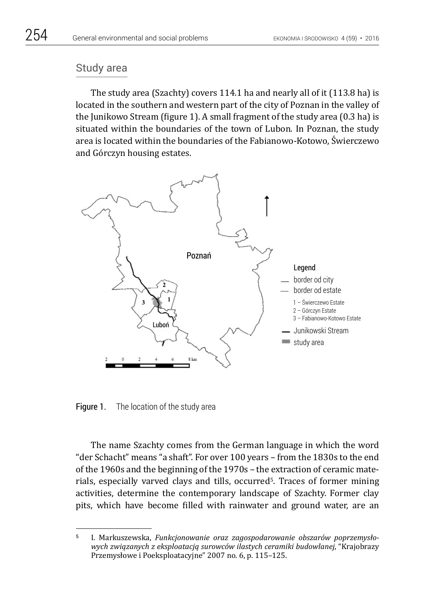# Study area

The study area (Szachty) covers 114.1 ha and nearly all of it (113.8 ha) is located in the southern and western part of the city of Poznan in the valley of the Junikowo Stream (figure 1). A small fragment of the study area (0.3 ha) is situated within the boundaries of the town of Lubon. In Poznan, the study area is located within the boundaries of the Fabianowo-Kotowo, Świerczewo and Górczyn housing estates.



Figure 1. The location of the study area

The name Szachty comes from the German language in which the word "der Schacht" means "a shaft". For over 100 years – from the 1830s to the end of the 1960s and the beginning of the 1970s – the extraction of ceramic materials, especially varved clays and tills, occurred<sup>5</sup>. Traces of former mining activities, determine the contemporary landscape of Szachty. Former clay pits, which have become filled with rainwater and ground water, are an

<sup>5</sup> I. Markuszewska, *Funkcjonowanie oraz zagospodarowanie obszarów poprzemysłowych związanych z eksploatacją surowców ilastych ceramiki budowlanej*, "Krajobrazy Przemysłowe i Poeksploatacyjne" 2007 no. 6, p. 115–125.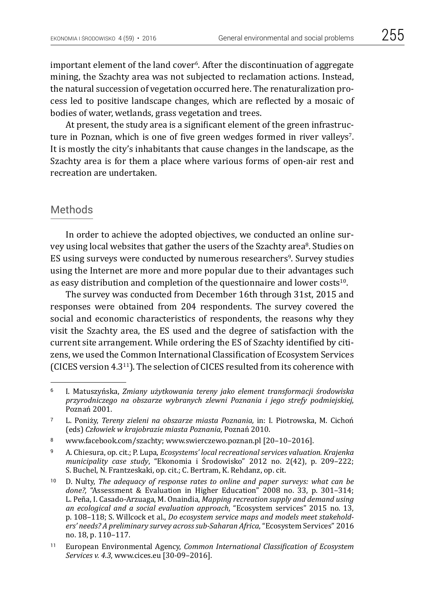important element of the land cover<sup>6</sup>. After the discontinuation of aggregate mining, the Szachty area was not subjected to reclamation actions. Instead, the natural succession of vegetation occurred here. The renaturalization process led to positive landscape changes, which are reflected by a mosaic of bodies of water, wetlands, grass vegetation and trees.

At present, the study area is a significant element of the green infrastructure in Poznan, which is one of five green wedges formed in river valleys<sup>7</sup>. It is mostly the city's inhabitants that cause changes in the landscape, as the Szachty area is for them a place where various forms of open-air rest and recreation are undertaken.

#### Methods

In order to achieve the adopted objectives, we conducted an online survey using local websites that gather the users of the Szachty area<sup>8</sup>. Studies on ES using surveys were conducted by numerous researchers9. Survey studies using the Internet are more and more popular due to their advantages such as easy distribution and completion of the questionnaire and lower costs $10$ .

The survey was conducted from December 16th through 31st, 2015 and responses were obtained from 204 respondents. The survey covered the social and economic characteristics of respondents, the reasons why they visit the Szachty area, the ES used and the degree of satisfaction with the current site arrangement. While ordering the ES of Szachty identified by citizens, we used the Common International Classification of Ecosystem Services (CICES version 4.311). The selection of CICES resulted from its coherence with

<sup>8</sup> www.facebook.com/szachty; www.swierczewo.poznan.pl [20–10–2016].

<sup>9</sup> A. Chiesura, op. cit.; P. Lupa, *Ecosystems' local recreational services valuation. Krajenka municipality case study*, "Ekonomia i Środowisko" 2012 no. 2(42), p. 209–222; S. Buchel, N. Frantzeskaki, op. cit.; C. Bertram, K. Rehdanz, op. cit.

<sup>10</sup> D. Nulty, *The adequacy of response rates to online and paper surveys: what can be done?,* "Assessment & Evaluation in Higher Education" 2008 no. 33, p. 301–314; L. Peña, I. Casado-Arzuaga, M. Onaindia, *Mapping recreation supply and demand using an ecological and a social evaluation approach*, "Ecosystem services" 2015 no. 13, p. 108–118; S. Willcock et al., *Do ecosystem service maps and models meet stakeholders' needs? A preliminary survey across sub-Saharan Africa*, "Ecosystem Services" 2016 no. 18, p. 110–117.

<sup>6</sup> I. Matuszyńska, *Zmiany użytkowania tereny jako element transformacji środowiska przyrodniczego na obszarze wybranych zlewni Poznania i jego strefy podmiejskiej*, Poznań 2001.

<sup>7</sup> L. Poniży, *Tereny zieleni na obszarze miasta Poznania,* in: I. Piotrowska, M. Cichoń (eds) *Człowiek w krajobrazie miasta Poznania*, Poznań 2010.

<sup>11</sup> European Environmental Agency, *Common International Classification of Ecosystem Services v. 4.3*, www.cices.eu [30-09–2016].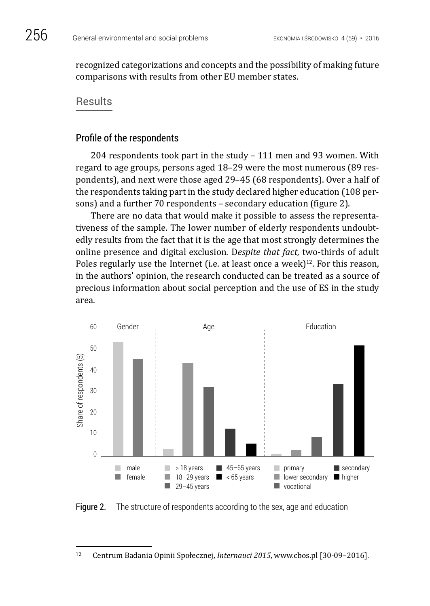recognized categorizations and concepts and the possibility of making future comparisons with results from other EU member states.

# **Results**

#### Profile of the respondents

204 respondents took part in the study – 111 men and 93 women. With regard to age groups, persons aged 18–29 were the most numerous (89 respondents), and next were those aged 29–45 (68 respondents). Over a half of the respondents taking part in the study declared higher education (108 persons) and a further 70 respondents – secondary education (figure 2).

There are no data that would make it possible to assess the representativeness of the sample. The lower number of elderly respondents undoubtedly results from the fact that it is the age that most strongly determines the online presence and digital exclusion*.* D*espite that fact,* two-thirds of adult Poles regularly use the Internet (i.e. at least once a week)<sup>12</sup>. For this reason, in the authors' opinion, the research conducted can be treated as a source of precious information about social perception and the use of ES in the study area.



**Figure 2.** The structure of respondents according to the sex, age and education

<sup>12</sup> Centrum Badania Opinii Społecznej, *Internauci 2015*, www.cbos.pl [30-09–2016].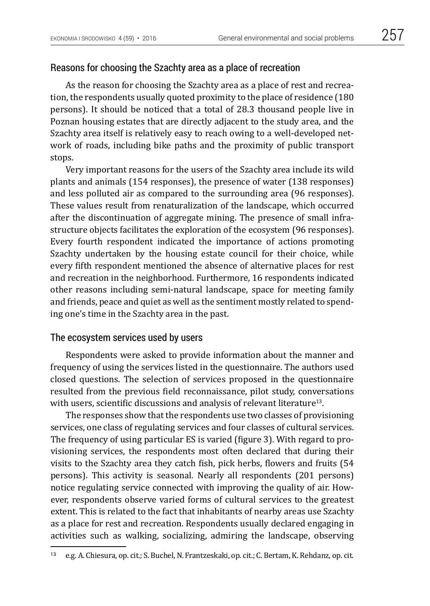#### Reasons for choosing the Szachty area as a place of recreation

As the reason for choosing the Szachty area as a place of rest and recreation, the respondents usually quoted proximity to the place of residence (180 persons). It should be noticed that a total of 28.3 thousand people live in Poznan housing estates that are directly adjacent to the study area, and the Szachty area itself is relatively easy to reach owing to a well-developed network of roads, including bike paths and the proximity of public transport stops.

Very important reasons for the users of the Szachty area include its wild plants and animals (154 responses), the presence of water (138 responses) and less polluted air as compared to the surrounding area (96 responses). These values result from renaturalization of the landscape, which occurred after the discontinuation of aggregate mining. The presence of small infrastructure objects facilitates the exploration of the ecosystem (96 responses). Every fourth respondent indicated the importance of actions promoting Szachty undertaken by the housing estate council for their choice, while every fifth respondent mentioned the absence of alternative places for rest and recreation in the neighborhood. Furthermore, 16 respondents indicated other reasons including semi-natural landscape, space for meeting family and friends, peace and quiet as well as the sentiment mostly related to spending one's time in the Szachty area in the past.

#### The ecosystem services used by users

Respondents were asked to provide information about the manner and frequency of using the services listed in the questionnaire. The authors used closed questions. The selection of services proposed in the questionnaire resulted from the previous field reconnaissance, pilot study, conversations with users, scientific discussions and analysis of relevant literature<sup>13</sup>.

The responses show that the respondents use two classes of provisioning services, one class of regulating services and four classes of cultural services. The frequency of using particular ES is varied (figure 3). With regard to provisioning services, the respondents most often declared that during their visits to the Szachty area they catch fish, pick herbs, flowers and fruits (54 persons). This activity is seasonal. Nearly all respondents (201 persons) notice regulating service connected with improving the quality of air. However, respondents observe varied forms of cultural services to the greatest extent. This is related to the fact that inhabitants of nearby areas use Szachty as a place for rest and recreation. Respondents usually declared engaging in activities such as walking, socializing, admiring the landscape, observing

<sup>13</sup> e.g. A. Chiesura, op. cit.; S. Buchel, N. Frantzeskaki, op. cit.; C. Bertam, K. Rehdanz, op. cit.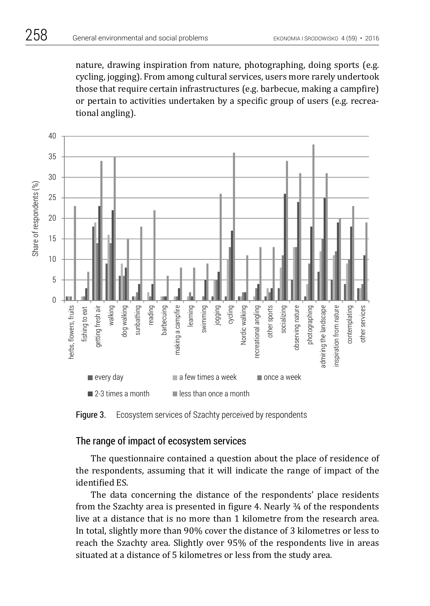nature, drawing inspiration from nature, photographing, doing sports (e.g. cycling, jogging). From among cultural services, users more rarely undertook those that require certain infrastructures (e.g. barbecue, making a campfire) or pertain to activities undertaken by a specific group of users (e.g. recreational angling).



Figure 3. Ecosystem services of Szachty perceived by respondents

# The range of impact of ecosystem services

The questionnaire contained a question about the place of residence of the respondents, assuming that it will indicate the range of impact of the identified ES.

The data concerning the distance of the respondents' place residents from the Szachty area is presented in figure 4. Nearly ¾ of the respondents live at a distance that is no more than 1 kilometre from the research area. In total, slightly more than 90% cover the distance of 3 kilometres or less to reach the Szachty area. Slightly over 95% of the respondents live in areas situated at a distance of 5 kilometres or less from the study area.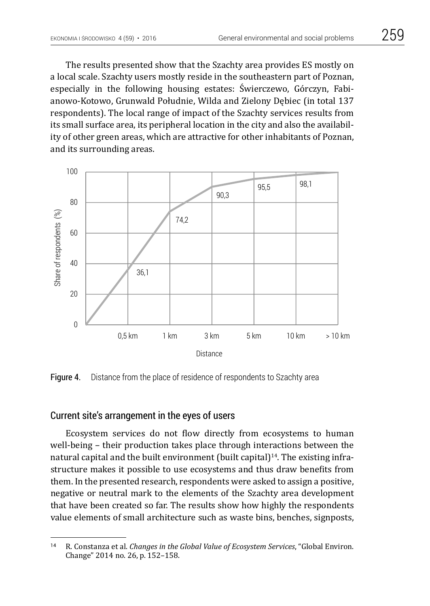The results presented show that the Szachty area provides ES mostly on a local scale. Szachty users mostly reside in the southeastern part of Poznan, especially in the following housing estates: Świerczewo, Górczyn, Fabianowo-Kotowo, Grunwald Południe, Wilda and Zielony Dębiec (in total 137 respondents). The local range of impact of the Szachty services results from its small surface area, its peripheral location in the city and also the availability of other green areas, which are attractive for other inhabitants of Poznan, and its surrounding areas.



Figure 4. Distance from the place of residence of respondents to Szachty area

# Current site's arrangement in the eyes of users

Ecosystem services do not flow directly from ecosystems to human well-being – their production takes place through interactions between the natural capital and the built environment (built capital)<sup>14</sup>. The existing infrastructure makes it possible to use ecosystems and thus draw benefits from them. In the presented research, respondents were asked to assign a positive, negative or neutral mark to the elements of the Szachty area development that have been created so far. The results show how highly the respondents value elements of small architecture such as waste bins, benches, signposts,

<sup>14</sup> R. Constanza et al. *Changes in the Global Value of Ecosystem Services*, "Global Environ. Change" 2014 no. 26, p. 152–158.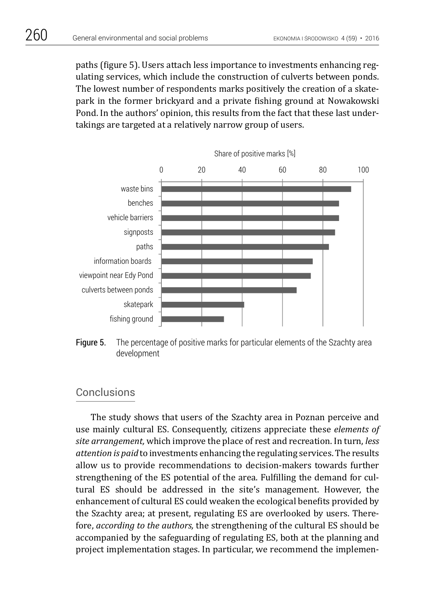paths (figure 5). Users attach less importance to investments enhancing regulating services, which include the construction of culverts between ponds. The lowest number of respondents marks positively the creation of a skatepark in the former brickyard and a private fishing ground at Nowakowski Pond. In the authors' opinion, this results from the fact that these last undertakings are targeted at a relatively narrow group of users.



Figure 5. The percentage of positive marks for particular elements of the Szachty area development

# **Conclusions**

The study shows that users of the Szachty area in Poznan perceive and use mainly cultural ES. Consequently, citizens appreciate these *elements of site arrangement,* which improve the place of rest and recreation. In turn, *less attention is paid* to investments enhancing the regulating services. The results allow us to provide recommendations to decision-makers towards further strengthening of the ES potential of the area. Fulfilling the demand for cultural ES should be addressed in the site's management. However, the enhancement of cultural ES could weaken the ecological benefits provided by the Szachty area; at present, regulating ES are overlooked by users. Therefore, *according to the authors,* the strengthening of the cultural ES should be accompanied by the safeguarding of regulating ES, both at the planning and project implementation stages. In particular, we recommend the implemen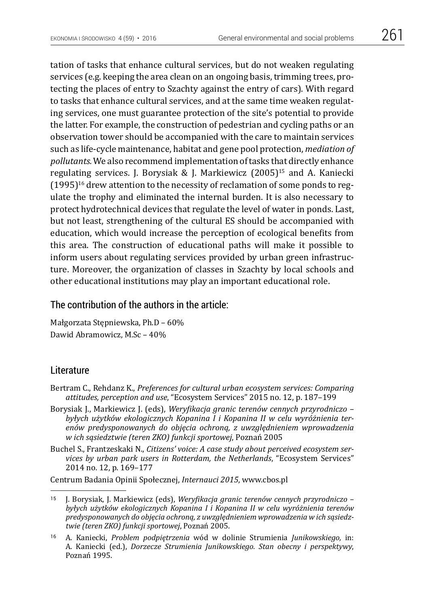tation of tasks that enhance cultural services, but do not weaken regulating services (e.g. keeping the area clean on an ongoing basis, trimming trees, protecting the places of entry to Szachty against the entry of cars). With regard to tasks that enhance cultural services, and at the same time weaken regulating services, one must guarantee protection of the site's potential to provide the latter. For example, the construction of pedestrian and cycling paths or an observation tower should be accompanied with the care to maintain services such as life-cycle maintenance, habitat and gene pool protection, *mediation of pollutants.* We also recommend implementation of tasks that directly enhance regulating services. J. Borysiak & J. Markiewicz  $(2005)^{15}$  and A. Kaniecki (1995)16 drew attention to the necessity of reclamation of some ponds to regulate the trophy and eliminated the internal burden. It is also necessary to protect hydrotechnical devices that regulate the level of water in ponds. Last, but not least, strengthening of the cultural ES should be accompanied with education, which would increase the perception of ecological benefits from this area. The construction of educational paths will make it possible to inform users about regulating services provided by urban green infrastructure. Moreover, the organization of classes in Szachty by local schools and other educational institutions may play an important educational role.

#### The contribution of the authors in the article:

Małgorzata Stępniewska, Ph.D – 60% Dawid Abramowicz, M.Sc – 40%

#### Literature

- Bertram C., Rehdanz K., *Preferences for cultural urban ecosystem services: Comparing attitudes, perception and use*, "Ecosystem Services" 2015 no. 12, p. 187–199
- Borysiak J., Markiewicz J. (eds), *Weryfikacja granic terenów cennych przyrodniczo byłych użytków ekologicznych Kopanina I i Kopanina II w celu wyróżnienia terenów predysponowanych do objęcia ochroną, z uwzględnieniem wprowadzenia w ich sąsiedztwie (teren ZKO) funkcji sportowej*, Poznań 2005
- Buchel S., Frantzeskaki N., *Citizens' voice: A case study about perceived ecosystem services by urban park users in Rotterdam, the Netherlands*, "Ecosystem Services" 2014 no. 12, p. 169–177

Centrum Badania Opinii Społecznej, *Internauci 2015*, www.cbos.pl

<sup>15</sup> J. Borysiak, J. Markiewicz (eds), *Weryfikacja granic terenów cennych przyrodniczo – byłych użytków ekologicznych Kopanina I i Kopanina II w celu wyróżnienia terenów predysponowanych do objęcia ochroną, z uwzględnieniem wprowadzenia w ich sąsiedztwie (teren ZKO) funkcji sportowej*, Poznań 2005.

<sup>16</sup> A. Kaniecki, *Problem podpiętrzenia* wód w dolinie Strumienia *Junikowskiego,* in: A. Kaniecki (ed.), *Dorzecze Strumienia Junikowskiego. Stan obecny i perspektywy*, Poznań 1995.